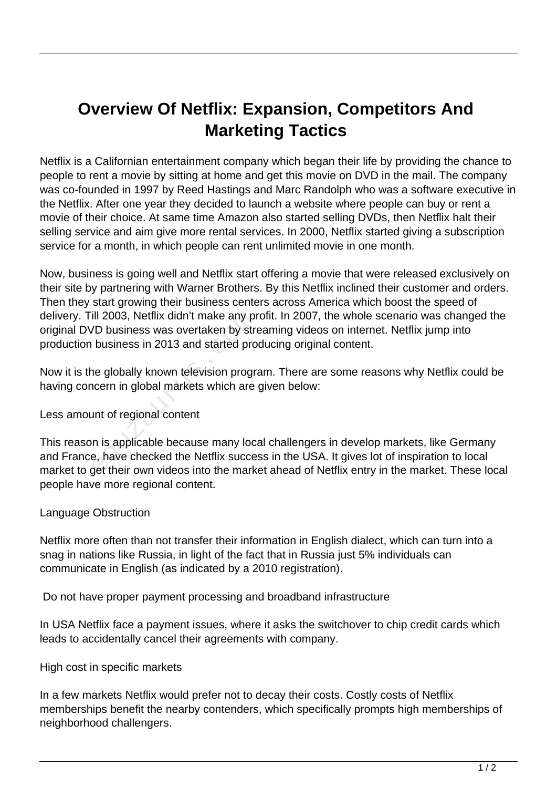# **Overview Of Netflix: Expansion, Competitors And Marketing Tactics**

Netflix is a Californian entertainment company which began their life by providing the chance to people to rent a movie by sitting at home and get this movie on DVD in the mail. The company was co-founded in 1997 by Reed Hastings and Marc Randolph who was a software executive in the Netflix. After one year they decided to launch a website where people can buy or rent a movie of their choice. At same time Amazon also started selling DVDs, then Netflix halt their selling service and aim give more rental services. In 2000, Netflix started giving a subscription service for a month, in which people can rent unlimited movie in one month.

Now, business is going well and Netflix start offering a movie that were released exclusively on their site by partnering with Warner Brothers. By this Netflix inclined their customer and orders. Then they start growing their business centers across America which boost the speed of delivery. Till 2003, Netflix didn't make any profit. In 2007, the whole scenario was changed the original DVD business was overtaken by streaming videos on internet. Netflix jump into production business in 2013 and started producing original content.

Now it is the globally known television program. There are some reasons why Netflix could be having concern in global markets which are given below:

### Less amount of regional content

This reason is applicable because many local challengers in develop markets, like Germany and France, have checked the Netflix success in the USA. It gives lot of inspiration to local market to get their own videos into the market ahead of Netflix entry in the market. These local people have more regional content. ill 2003, Netflix didn't make any pr<br>/D business was overtaken by stre<br>business in 2013 and started pro<br>ne globally known television progra<br>ncern in global markets which are<br>unt of regional content<br>n is applicable because

#### Language Obstruction

Netflix more often than not transfer their information in English dialect, which can turn into a snag in nations like Russia, in light of the fact that in Russia just 5% individuals can communicate in English (as indicated by a 2010 registration).

Do not have proper payment processing and broadband infrastructure

In USA Netflix face a payment issues, where it asks the switchover to chip credit cards which leads to accidentally cancel their agreements with company.

#### High cost in specific markets

In a few markets Netflix would prefer not to decay their costs. Costly costs of Netflix memberships benefit the nearby contenders, which specifically prompts high memberships of neighborhood challengers.